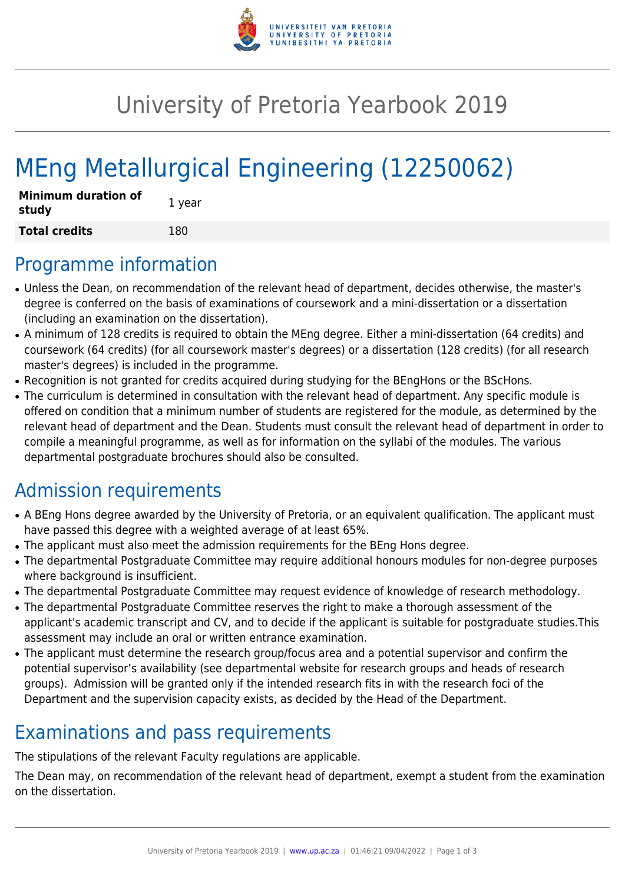

## University of Pretoria Yearbook 2019

# MEng Metallurgical Engineering (12250062)

| <b>Minimum duration of</b><br>study | 1 year |
|-------------------------------------|--------|
| <b>Total credits</b>                | 180    |

#### Programme information

- Unless the Dean, on recommendation of the relevant head of department, decides otherwise, the master's degree is conferred on the basis of examinations of coursework and a mini-dissertation or a dissertation (including an examination on the dissertation).
- A minimum of 128 credits is required to obtain the MEng degree. Either a mini-dissertation (64 credits) and coursework (64 credits) (for all coursework master's degrees) or a dissertation (128 credits) (for all research master's degrees) is included in the programme.
- Recognition is not granted for credits acquired during studying for the BEngHons or the BScHons.
- The curriculum is determined in consultation with the relevant head of department. Any specific module is offered on condition that a minimum number of students are registered for the module, as determined by the relevant head of department and the Dean. Students must consult the relevant head of department in order to compile a meaningful programme, as well as for information on the syllabi of the modules. The various departmental postgraduate brochures should also be consulted.

### Admission requirements

- A BEng Hons degree awarded by the University of Pretoria, or an equivalent qualification. The applicant must have passed this degree with a weighted average of at least 65%.
- The applicant must also meet the admission requirements for the BEng Hons degree.
- The departmental Postgraduate Committee may require additional honours modules for non-degree purposes where background is insufficient.
- The departmental Postgraduate Committee may request evidence of knowledge of research methodology.
- The departmental Postgraduate Committee reserves the right to make a thorough assessment of the applicant's academic transcript and CV, and to decide if the applicant is suitable for postgraduate studies.This assessment may include an oral or written entrance examination.
- The applicant must determine the research group/focus area and a potential supervisor and confirm the potential supervisor's availability (see departmental website for research groups and heads of research groups). Admission will be granted only if the intended research fits in with the research foci of the Department and the supervision capacity exists, as decided by the Head of the Department.

### Examinations and pass requirements

The stipulations of the relevant Faculty regulations are applicable.

The Dean may, on recommendation of the relevant head of department, exempt a student from the examination on the dissertation.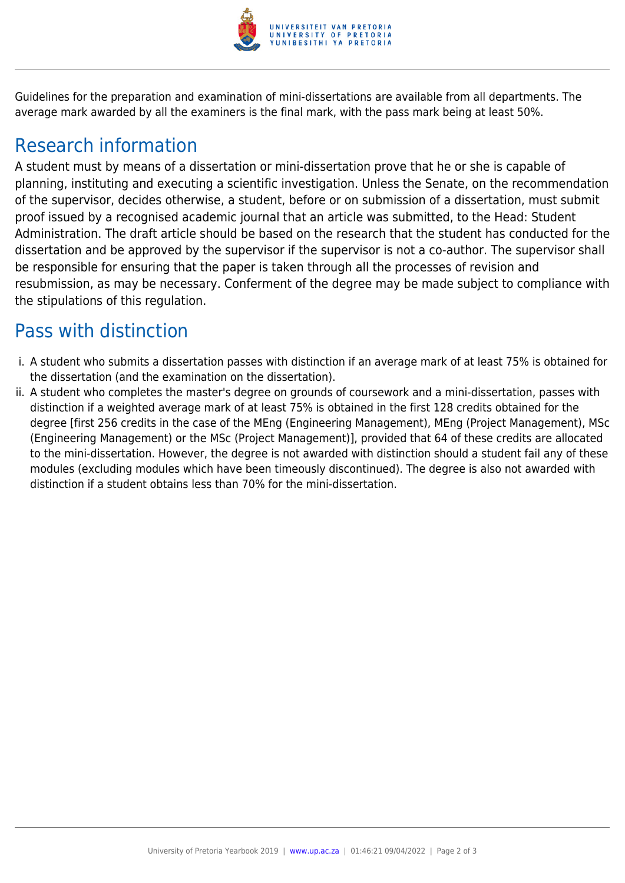

Guidelines for the preparation and examination of mini-dissertations are available from all departments. The average mark awarded by all the examiners is the final mark, with the pass mark being at least 50%.

#### Research information

A student must by means of a dissertation or mini-dissertation prove that he or she is capable of planning, instituting and executing a scientific investigation. Unless the Senate, on the recommendation of the supervisor, decides otherwise, a student, before or on submission of a dissertation, must submit proof issued by a recognised academic journal that an article was submitted, to the Head: Student Administration. The draft article should be based on the research that the student has conducted for the dissertation and be approved by the supervisor if the supervisor is not a co-author. The supervisor shall be responsible for ensuring that the paper is taken through all the processes of revision and resubmission, as may be necessary. Conferment of the degree may be made subject to compliance with the stipulations of this regulation.

#### Pass with distinction

- i. A student who submits a dissertation passes with distinction if an average mark of at least 75% is obtained for the dissertation (and the examination on the dissertation).
- ii. A student who completes the master's degree on grounds of coursework and a mini-dissertation, passes with distinction if a weighted average mark of at least 75% is obtained in the first 128 credits obtained for the degree [first 256 credits in the case of the MEng (Engineering Management), MEng (Project Management), MSc (Engineering Management) or the MSc (Project Management)], provided that 64 of these credits are allocated to the mini-dissertation. However, the degree is not awarded with distinction should a student fail any of these modules (excluding modules which have been timeously discontinued). The degree is also not awarded with distinction if a student obtains less than 70% for the mini-dissertation.